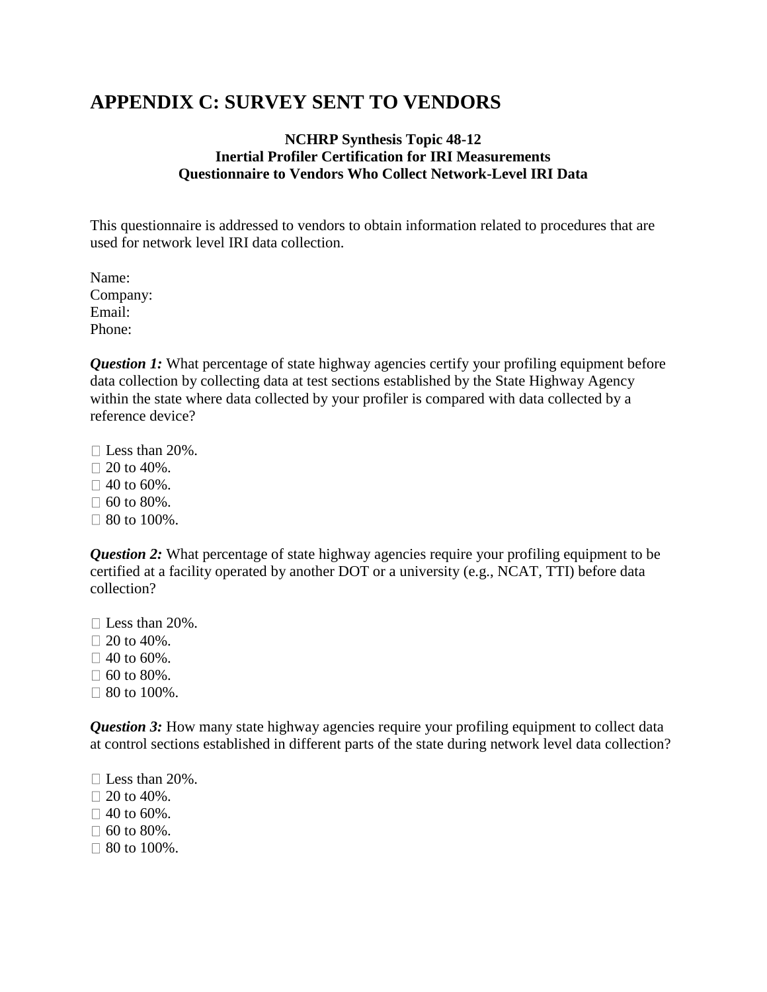## **APPENDIX C: SURVEY SENT TO VENDORS**

## **NCHRP Synthesis Topic 48-12 Inertial Profiler Certification for IRI Measurements Questionnaire to Vendors Who Collect Network-Level IRI Data**

This questionnaire is addressed to vendors to obtain information related to procedures that are used for network level IRI data collection.

Name: Company: Email: Phone:

*Question 1:* What percentage of state highway agencies certify your profiling equipment before data collection by collecting data at test sections established by the State Highway Agency within the state where data collected by your profiler is compared with data collected by a reference device?

□ Less than 20%.  $\Box$  20 to 40%.

 $\Box$  40 to 60%.

 $\Box$  60 to 80%.

 $\Box$  80 to 100%.

*Question 2:* What percentage of state highway agencies require your profiling equipment to be certified at a facility operated by another DOT or a university (e.g., NCAT, TTI) before data collection?

□ Less than 20%.

 $\Box$  20 to 40%.

 $\Box$  40 to 60%.

 $\Box$  60 to 80%.

 $\Box$  80 to 100%.

*Question 3:* How many state highway agencies require your profiling equipment to collect data at control sections established in different parts of the state during network level data collection?

 $\Box$  Less than 20%.

 $\Box$  20 to 40%.

 $\Box$  40 to 60%.

 $\Box$  60 to 80%.

 $\Box$  80 to 100%.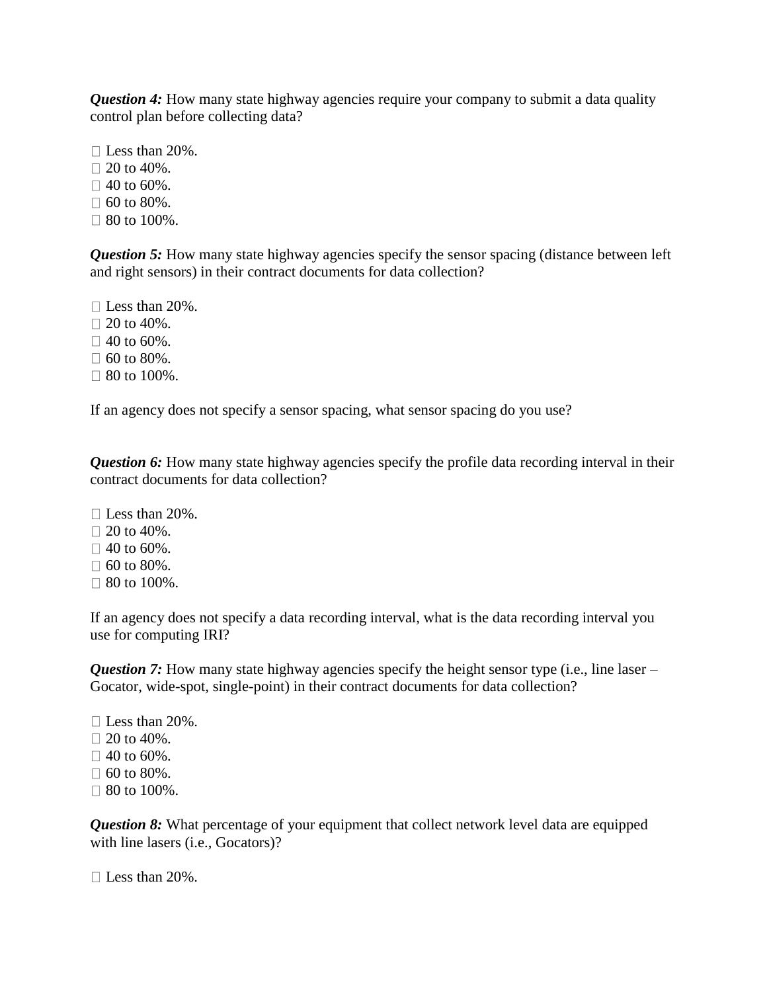*Question 4:* How many state highway agencies require your company to submit a data quality control plan before collecting data?

□ Less than 20%.  $\Box$  20 to 40%.  $\Box$  40 to 60%.  $\Box$  60 to 80%.  $\Box$  80 to 100%.

*Question 5:* How many state highway agencies specify the sensor spacing (distance between left and right sensors) in their contract documents for data collection?

 $\Box$  Less than 20%.  $\Box$  20 to 40%.  $\Box$  40 to 60%.  $\Box$  60 to 80%.  $\Box$  80 to 100%.

If an agency does not specify a sensor spacing, what sensor spacing do you use?

*Question 6:* How many state highway agencies specify the profile data recording interval in their contract documents for data collection?

 $\Box$  Less than 20%.  $\Box$  20 to 40%.  $\Box$  40 to 60%.  $\Box$  60 to 80%.  $\Box$  80 to 100%.

If an agency does not specify a data recording interval, what is the data recording interval you use for computing IRI?

*Question 7:* How many state highway agencies specify the height sensor type (i.e., line laser – Gocator, wide-spot, single-point) in their contract documents for data collection?

 $\Box$  Less than 20%.  $\Box$  20 to 40%.  $\Box$  40 to 60%.  $\Box$  60 to 80%.  $\Box$  80 to 100%.

*Question 8:* What percentage of your equipment that collect network level data are equipped with line lasers (i.e., Gocators)?

 $\Box$  Less than 20%.